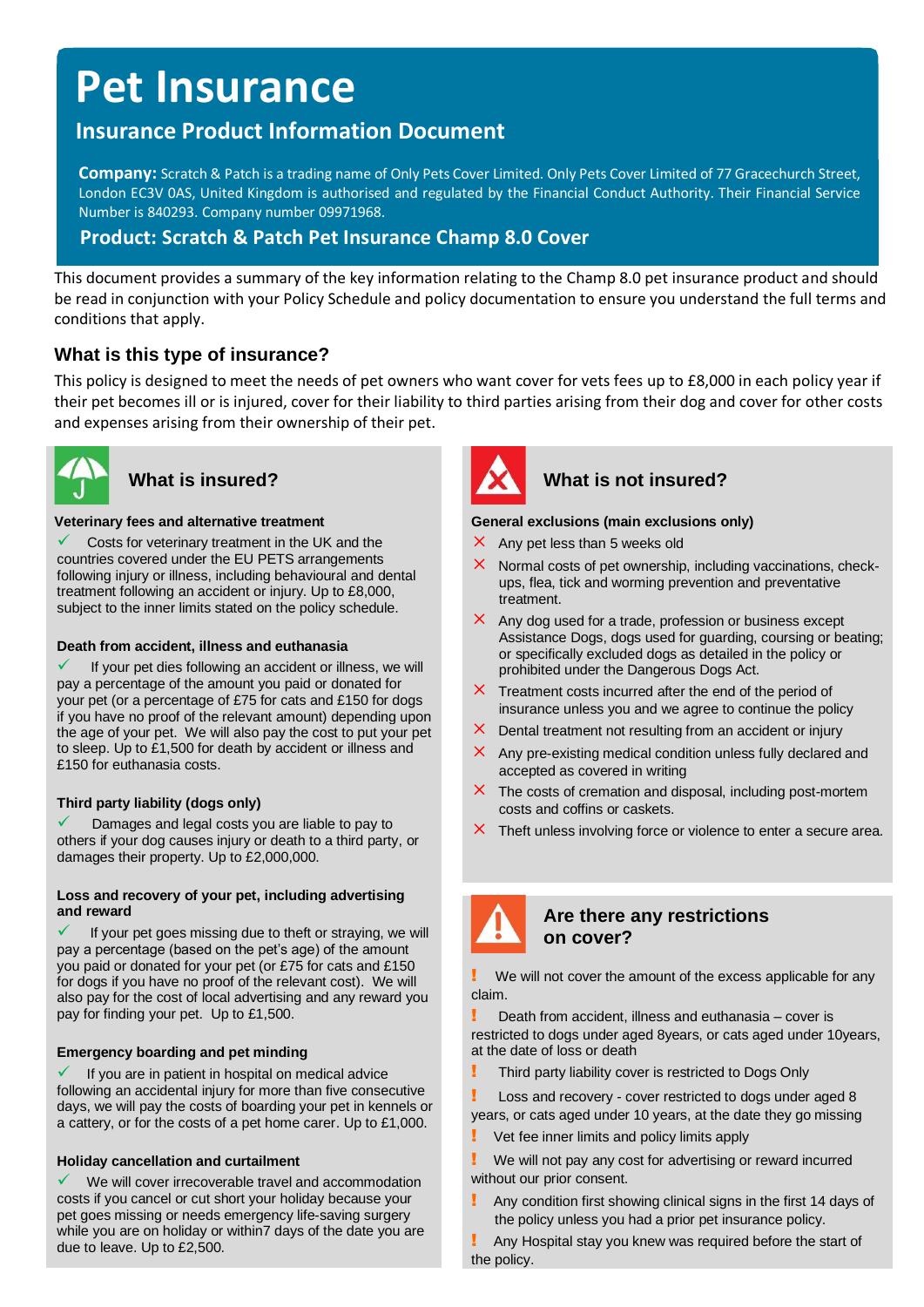# **Pet Insurance**

# **Insurance Product Information Document**

**Company:** Scratch & Patch is a trading name of Only Pets Cover Limited. Only Pets Cover Limited of 77 Gracechurch Street, London EC3V 0AS, United Kingdom is authorised and regulated by the Financial Conduct Authority. Their Financial Service Number is 840293. Company number 09971968.

# **Product: Scratch & Patch Pet Insurance Champ 8.0 Cover**

This document provides a summary of the key information relating to the Champ 8.0 pet insurance product and should be read in conjunction with your Policy Schedule and policy documentation to ensure you understand the full terms and conditions that apply.

# **What is this type of insurance?**

This policy is designed to meet the needs of pet owners who want cover for vets fees up to £8,000 in each policy year if their pet becomes ill or is injured, cover for their liability to third parties arising from their dog and cover for other costs and expenses arising from their ownership of their pet.



#### **Veterinary fees and alternative treatment**

Costs for veterinary treatment in the UK and the countries covered under the EU PETS arrangements following injury or illness, including behavioural and dental treatment following an accident or injury. Up to £8,000, subject to the inner limits stated on the policy schedule.

#### **Death from accident, illness and euthanasia**

If your pet dies following an accident or illness, we will pay a percentage of the amount you paid or donated for your pet (or a percentage of £75 for cats and £150 for dogs if you have no proof of the relevant amount) depending upon the age of your pet. We will also pay the cost to put your pet to sleep. Up to £1,500 for death by accident or illness and £150 for euthanasia costs.

### **Third party liability (dogs only)**

Damages and legal costs you are liable to pay to others if your dog causes injury or death to a third party, or damages their property. Up to £2,000,000.

#### **Loss and recovery of your pet, including advertising and reward**

If your pet goes missing due to theft or straying, we will pay a percentage (based on the pet's age) of the amount you paid or donated for your pet (or £75 for cats and £150 for dogs if you have no proof of the relevant cost). We will also pay for the cost of local advertising and any reward you pay for finding your pet. Up to £1,500.

#### **Emergency boarding and pet minding**

If you are in patient in hospital on medical advice following an accidental injury for more than five consecutive days, we will pay the costs of boarding your pet in kennels or a cattery, or for the costs of a pet home carer. Up to £1,000.

### **Holiday cancellation and curtailment**

We will cover irrecoverable travel and accommodation costs if you cancel or cut short your holiday because your pet goes missing or needs emergency life-saving surgery while you are on holiday or within7 days of the date you are due to leave. Up to £2,500.



# What is insured? **What is not insured?**

#### **General exclusions (main exclusions only)**

- $\times$  Any pet less than 5 weeks old
- Normal costs of pet ownership, including vaccinations, checkups, flea, tick and worming prevention and preventative treatment.
- $\times$  Any dog used for a trade, profession or business except Assistance Dogs, dogs used for guarding, coursing or beating; or specifically excluded dogs as detailed in the policy or prohibited under the Dangerous Dogs Act.
- $\times$  Treatment costs incurred after the end of the period of insurance unless you and we agree to continue the policy
- $\times$  Dental treatment not resulting from an accident or injury
- $\times$  Any pre-existing medical condition unless fully declared and accepted as covered in writing
- $\times$  The costs of cremation and disposal, including post-mortem costs and coffins or caskets.
- $\times$  Theft unless involving force or violence to enter a secure area.



### **Are there any restrictions on cover?**

We will not cover the amount of the excess applicable for any claim.

Death from accident, illness and euthanasia – cover is restricted to dogs under aged 8years, or cats aged under 10years, at the date of loss or death

Third party liability cover is restricted to Dogs Only

**Loss and recovery - cover restricted to dogs under aged 8** years, or cats aged under 10 years, at the date they go missing

- Vet fee inner limits and policy limits apply
- We will not pay any cost for advertising or reward incurred without our prior consent.
- Any condition first showing clinical signs in the first 14 days of the policy unless you had a prior pet insurance policy.

! Any Hospital stay you knew was required before the start of the policy.